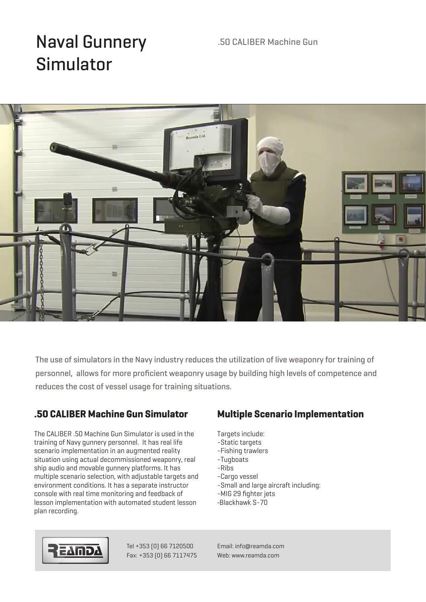### .50 CALIBER Machine Gun

# Naval Gunnery Simulator



The use of simulators in the Navy industry reduces the utilization of live weaponry for training of personnel, allows for more proficient weaponry usage by building high levels of competence and reduces the cost of vessel usage for training situations.

## **.50 CALIBER Machine Gun Simulator**

The CALIBER .50 Machine Gun Simulator is used in the training of Navy gunnery personnel. It has real life scenario implementation in an augmented reality situation using actual decommissioned weaponry, real ship audio and movable gunnery platforms. It has multiple scenario selection, with adjustable targets and environment conditions. It has a separate instructor console with real time monitoring and feedback of lesson implementation with automated student lesson plan recording.

## **Multiple Scenario Implementation**

- Targets include:
- -Static targets
- -Fishing trawlers
- -Tugboats
- -Ribs
- -Cargo vessel
- -Small and large aircraft including:
- -MIG 29 fighter jets
- -Blackhawk S-70



Tel +353 (0) 66 7120500 Fax: +353 (0) 66 7117475 Email: info@reamda.com Web: www.reamda.com